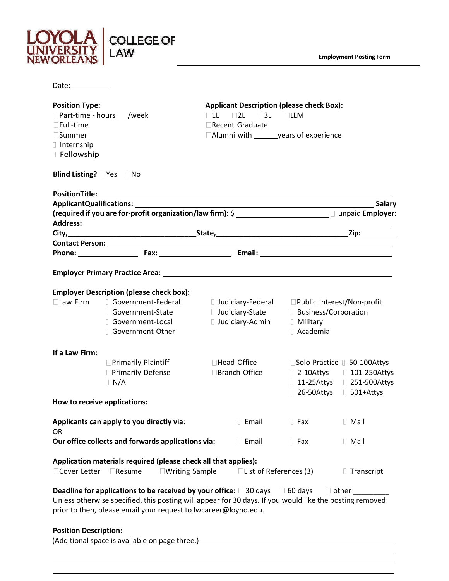

**Employment Posting Form**

| Date: $\_\_$                                                                                                                                                                                                                                                                                                                   |                                                                                                       |                        |                                              |                                                                      |
|--------------------------------------------------------------------------------------------------------------------------------------------------------------------------------------------------------------------------------------------------------------------------------------------------------------------------------|-------------------------------------------------------------------------------------------------------|------------------------|----------------------------------------------|----------------------------------------------------------------------|
| <b>Applicant Description (please check Box):</b><br><b>Position Type:</b><br>□ Part-time - hours /week<br>$\Box$ 2L $\Box$ 3L $\Box$ LLM<br>$\square$ 11<br>$\Box$ Full-time<br>$\Box$ Recent Graduate<br>□Alumni with _______ years of experience<br>$\square$ Summer<br>I Internship<br>Fellowship<br>Blind Listing? PYes No |                                                                                                       |                        |                                              |                                                                      |
|                                                                                                                                                                                                                                                                                                                                |                                                                                                       |                        |                                              |                                                                      |
|                                                                                                                                                                                                                                                                                                                                |                                                                                                       |                        |                                              | <b>Salary</b>                                                        |
|                                                                                                                                                                                                                                                                                                                                | (required if you are for-profit organization/law firm): \$ _______________________ U unpaid Employer: |                        |                                              |                                                                      |
|                                                                                                                                                                                                                                                                                                                                |                                                                                                       |                        |                                              |                                                                      |
|                                                                                                                                                                                                                                                                                                                                |                                                                                                       |                        |                                              |                                                                      |
|                                                                                                                                                                                                                                                                                                                                |                                                                                                       |                        |                                              |                                                                      |
|                                                                                                                                                                                                                                                                                                                                |                                                                                                       |                        |                                              |                                                                      |
|                                                                                                                                                                                                                                                                                                                                |                                                                                                       |                        |                                              |                                                                      |
|                                                                                                                                                                                                                                                                                                                                | <b>Employer Description (please check box):</b>                                                       |                        |                                              |                                                                      |
| $\square$ Law Firm                                                                                                                                                                                                                                                                                                             | Government-Federal                                                                                    |                        | Judiciary-Federal Public Interest/Non-profit |                                                                      |
|                                                                                                                                                                                                                                                                                                                                | Government-State                                                                                      | <b>Judiciary-State</b> | <b>Business/Corporation</b>                  |                                                                      |
|                                                                                                                                                                                                                                                                                                                                | Government-Local                                                                                      | <b>Judiciary-Admin</b> | <b>I</b> Military                            |                                                                      |
|                                                                                                                                                                                                                                                                                                                                | □ Government-Other                                                                                    |                        | □ Academia                                   |                                                                      |
|                                                                                                                                                                                                                                                                                                                                |                                                                                                       |                        |                                              |                                                                      |
| If a Law Firm:                                                                                                                                                                                                                                                                                                                 |                                                                                                       | □Head Office           |                                              |                                                                      |
|                                                                                                                                                                                                                                                                                                                                | □ Primarily Plaintiff<br><b>OPrimarily Defense</b>                                                    | □Branch Office         |                                              | □Solo Practice □ 50-100Attys<br>$\Box$ 2-10Attys $\Box$ 101-250Attys |
| $\Box$ N/A                                                                                                                                                                                                                                                                                                                     |                                                                                                       |                        |                                              | 11-25Attys 1 251-500Attys                                            |
|                                                                                                                                                                                                                                                                                                                                |                                                                                                       |                        |                                              | [ 26-50Attys [ 501+Attys                                             |
| How to receive applications:                                                                                                                                                                                                                                                                                                   |                                                                                                       |                        |                                              |                                                                      |
|                                                                                                                                                                                                                                                                                                                                |                                                                                                       |                        |                                              |                                                                      |
|                                                                                                                                                                                                                                                                                                                                | Applicants can apply to you directly via:                                                             | <b>Email</b>           | $\Box$ Fax                                   | □ Mail                                                               |
| <b>OR</b>                                                                                                                                                                                                                                                                                                                      |                                                                                                       |                        |                                              |                                                                      |
|                                                                                                                                                                                                                                                                                                                                | Our office collects and forwards applications via:                                                    | <b>L</b> Email         | $\Box$ Fax                                   | □ Mail                                                               |
| Application materials required (please check all that applies):<br>□Cover Letter<br>$\Box$ Resume<br>$\Box$ Writing Sample<br>□ List of References (3)<br><b>Transcript</b>                                                                                                                                                    |                                                                                                       |                        |                                              |                                                                      |
| <b>Deadline for applications to be received by your office:</b> $\Box$ 30 days $\Box$ 60 days<br>$\Box$ other<br>Unless otherwise specified, this posting will appear for 30 days. If you would like the posting removed<br>prior to then, please email your request to lwcareer@loyno.edu.                                    |                                                                                                       |                        |                                              |                                                                      |
| <b>Position Description:</b>                                                                                                                                                                                                                                                                                                   |                                                                                                       |                        |                                              |                                                                      |
| (Additional space is available on page three.)                                                                                                                                                                                                                                                                                 |                                                                                                       |                        |                                              |                                                                      |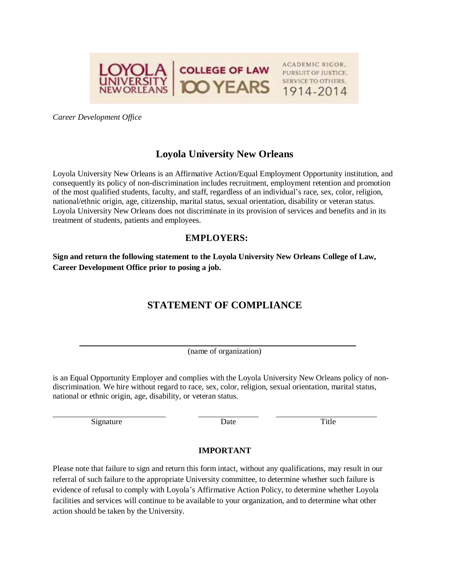

*Career Development Office*

## **Loyola University New Orleans**

Loyola University New Orleans is an Affirmative Action/Equal Employment Opportunity institution, and consequently its policy of non-discrimination includes recruitment, employment retention and promotion of the most qualified students, faculty, and staff, regardless of an individual's race, sex, color, religion, national/ethnic origin, age, citizenship, marital status, sexual orientation, disability or veteran status. Loyola University New Orleans does not discriminate in its provision of services and benefits and in its treatment of students, patients and employees.

## **EMPLOYERS:**

**Sign and return the following statement to the Loyola University New Orleans College of Law, Career Development Office prior to posing a job.**

## **STATEMENT OF COMPLIANCE**

(name of organization)

is an Equal Opportunity Employer and complies with the Loyola University New Orleans policy of nondiscrimination. We hire without regard to race, sex, color, religion, sexual orientation, marital status, national or ethnic origin, age, disability, or veteran status.

Signature Date Date Title

## **IMPORTANT**

Please note that failure to sign and return this form intact, without any qualifications, may result in our referral of such failure to the appropriate University committee, to determine whether such failure is evidence of refusal to comply with Loyola's Affirmative Action Policy, to determine whether Loyola facilities and services will continue to be available to your organization, and to determine what other action should be taken by the University.